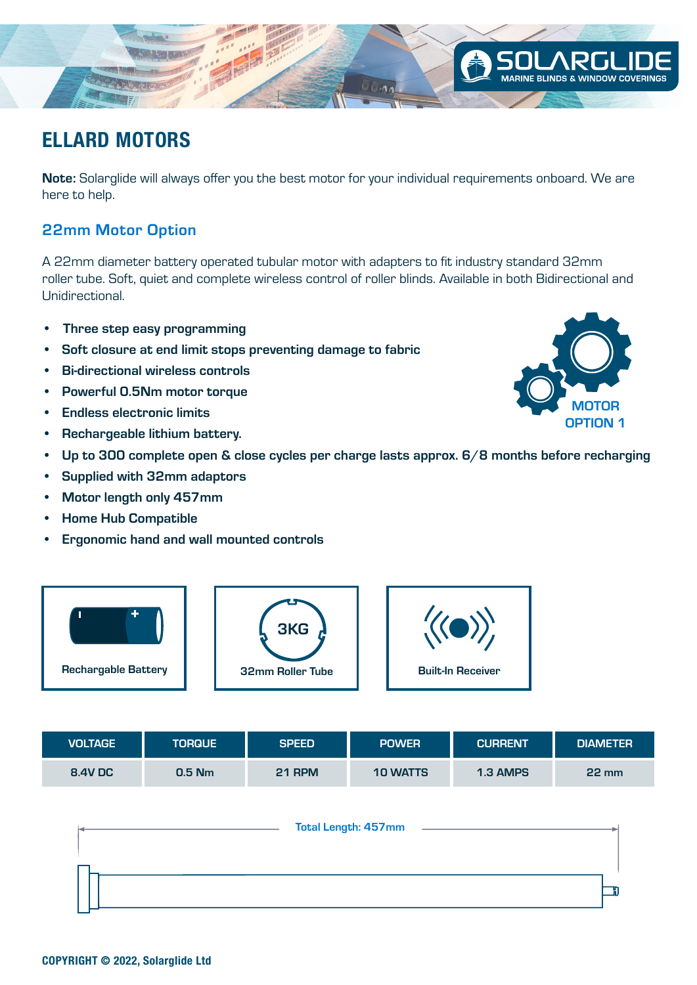Note: Solarglide will always offer you the best motor for your individual requirements onboard. We are here to help.

 $\cup \cup \cap$ 

### 22mm Motor Option

A 22mm diameter battery operated tubular motor with adapters to fit industry standard 32mm roller tube. Soft, quiet and complete wireless control of roller blinds. Available in both Bidirectional and Unidirectional.

- Three step easy programming
- Soft closure at end limit stops preventing damage to fabric
- Bi-directional wireless controls
- Powerful 0.5Nm motor torque
- Endless electronic limits
- Rechargeable lithium battery.
- Up to 300 complete open & close cycles per charge lasts approx. 6/8 months before recharging
- Supplied with 32mm adaptors
- Motor length only 457mm
- Home Hub Compatible
- Ergonomic hand and wall mounted controls



3KG

| <b>Total Length: 457mm</b> |  |
|----------------------------|--|
|                            |  |
|                            |  |





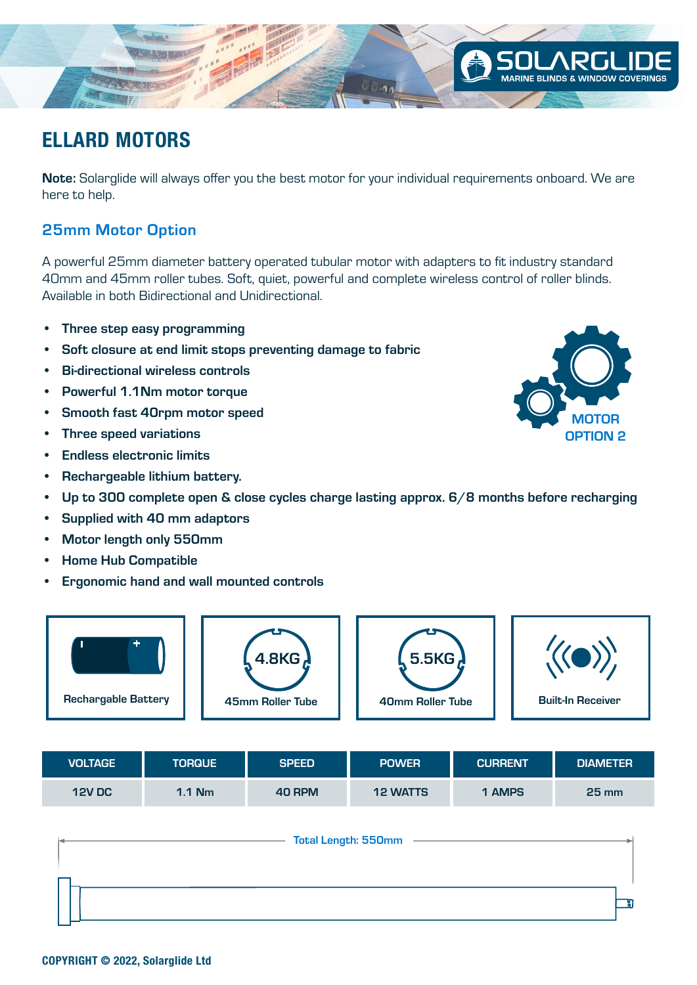Note: Solarglide will always offer you the best motor for your individual requirements onboard. We are here to help.

 $U(1,0)$ 

### 25mm Motor Option

A powerful 25mm diameter battery operated tubular motor with adapters to fit industry standard 40mm and 45mm roller tubes. Soft, quiet, powerful and complete wireless control of roller blinds. Available in both Bidirectional and Unidirectional.

- Three step easy programming
- Soft closure at end limit stops preventing damage to fabric
- Bi-directional wireless controls
- Powerful 1.1Nm motor torque
- Smooth fast 40rpm motor speed
- Three speed variations
- Endless electronic limits
- Rechargeable lithium battery.
- Up to 300 complete open & close cycles charge lasting approx. 6/8 months before recharging
- Supplied with 40 mm adaptors
- Motor length only 550mm
- Home Hub Compatible
- Ergonomic hand and wall mounted controls



| <b>VOLTAGE</b> | <b>TORQUE</b> | <b>SPEED</b> | <b>POWER</b>    | <b>CURRENT</b> | <b>DIAMETER</b>    |
|----------------|---------------|--------------|-----------------|----------------|--------------------|
| <b>12V DC</b>  | $1.1$ Nm      | 40 RPM       | <b>12 WATTS</b> | 1 AMPS         | $25 \,\mathrm{mm}$ |

| <b>Total Length: 550mm</b> |  |
|----------------------------|--|
|                            |  |
|                            |  |
|                            |  |



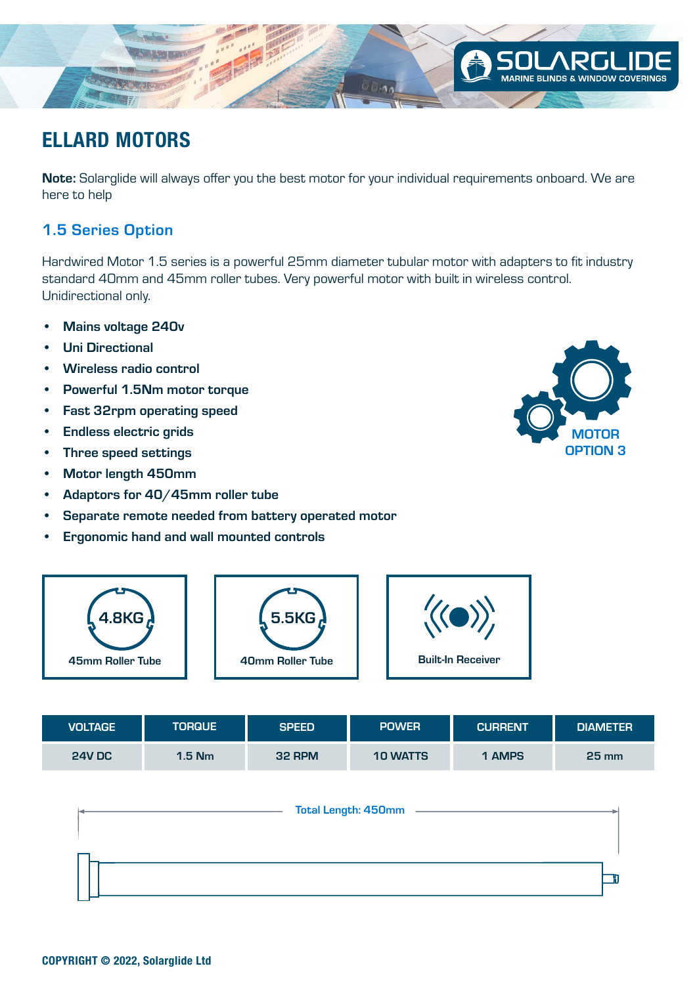

Note: Solarglide will always offer you the best motor for your individual requirements onboard. We are here to help

### 1.5 Series Option

Hardwired Motor 1.5 series is a powerful 25mm diameter tubular motor with adapters to fit industry standard 40mm and 45mm roller tubes. Very powerful motor with built in wireless control. Unidirectional only.

- Mains voltage 240v
- Uni Directional
- Wireless radio control
- Powerful 1.5Nm motor torque
- Fast 32rpm operating speed
- Endless electric grids
- Three speed settings
- Motor length 450mm
- Adaptors for 40/45mm roller tube
- Separate remote needed from battery operated motor
- Ergonomic hand and wall mounted controls



| <b>VOLTAGE</b> | <b>TORQUE</b> | <b>SPEED</b> | <b>POWER</b>    | <b>CURRENT</b> | <b>DIAMETER</b> |
|----------------|---------------|--------------|-----------------|----------------|-----------------|
| <b>24V DC</b>  | $1.5$ Nm      | 32 RPM       | <b>10 WATTS</b> | 1 AMPS         | $25 \text{ mm}$ |



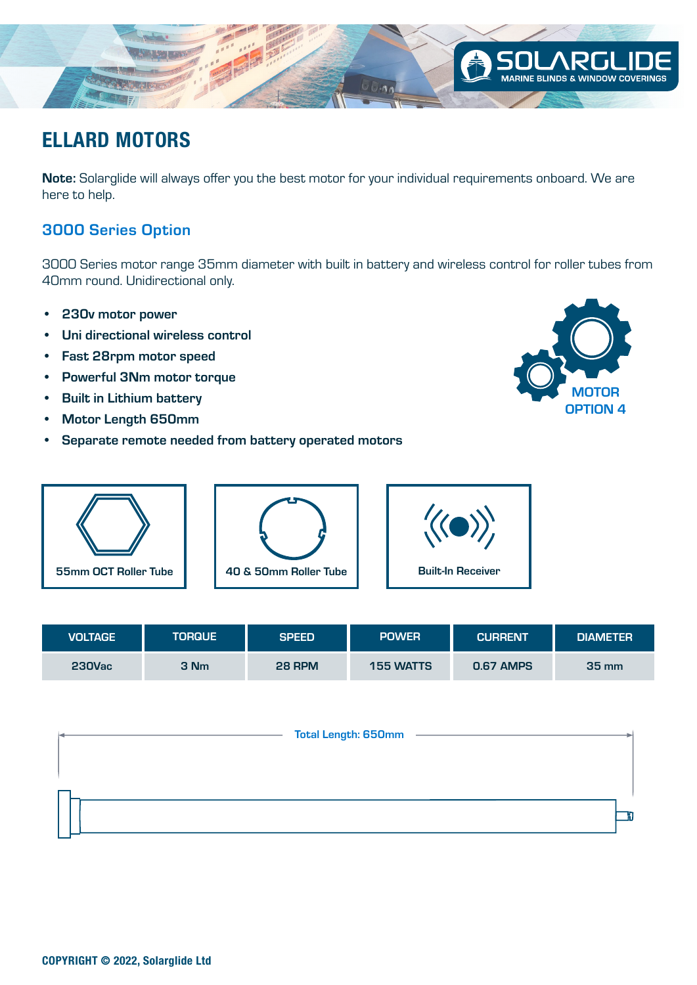

Note: Solarglide will always offer you the best motor for your individual requirements onboard. We are here to help.

### 3000 Series Option

3000 Series motor range 35mm diameter with built in battery and wireless control for roller tubes from 40mm round. Unidirectional only.

- 230v motor power
- Uni directional wireless control
- Fast 28rpm motor speed
- Powerful 3Nm motor torque
- Built in Lithium battery
- Motor Length 650mm
- Separate remote needed from battery operated motors





| VOLTAGE       | <b>TORQUE</b> | <b>SPEED</b> | <b>POWER</b>     | <b>CURRENT</b>   | <b>DIAMETER</b> |
|---------------|---------------|--------------|------------------|------------------|-----------------|
| <b>230Vac</b> | 3 Nm          | 28 RPM       | <b>155 WATTS</b> | <b>0.67 AMPS</b> | <b>35 mm</b>    |

|  | <b>Total Length: 650mm</b> |  |
|--|----------------------------|--|
|  |                            |  |
|  |                            |  |
|  |                            |  |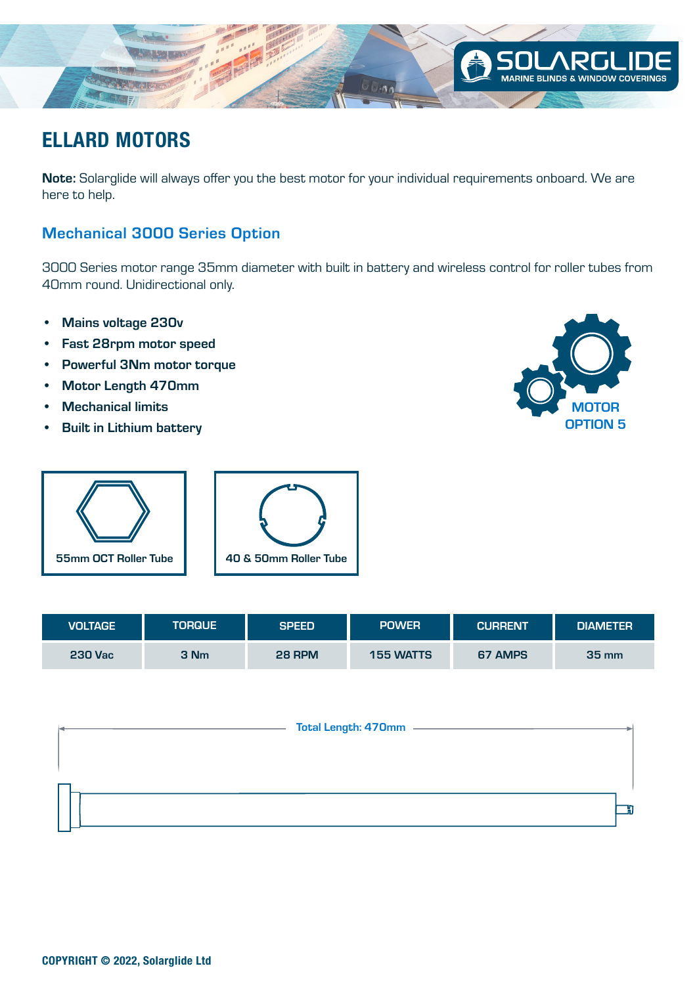

Note: Solarglide will always offer you the best motor for your individual requirements onboard. We are here to help.

### Mechanical 3000 Series Option

3000 Series motor range 35mm diameter with built in battery and wireless control for roller tubes from 40mm round. Unidirectional only.

- Mains voltage 230v
- Fast 28rpm motor speed
- Powerful 3Nm motor torque
- Motor Length 470mm
- Mechanical limits
- Built in Lithium battery





| VOLTAGE        | <b>TORQUE</b> | <b>SPEED</b>  | <b>POWER</b>     | <b>CURRENT</b> | <b>DIAMETER</b> |
|----------------|---------------|---------------|------------------|----------------|-----------------|
| <b>230 Vac</b> | 3 Nm          | <b>28 RPM</b> | <b>155 WATTS</b> | 67 AMPS        | $35 \text{ mm}$ |

| Total Length: 470mm ––––– |  |
|---------------------------|--|
|                           |  |
|                           |  |
|                           |  |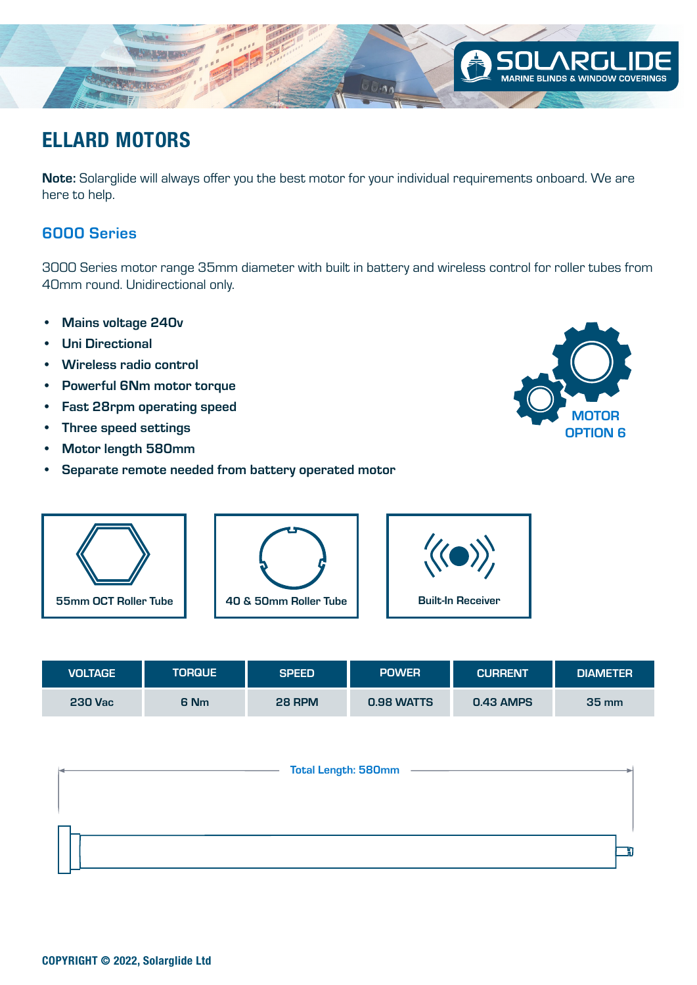

Note: Solarglide will always offer you the best motor for your individual requirements onboard. We are here to help.

### 6000 Series

3000 Series motor range 35mm diameter with built in battery and wireless control for roller tubes from 40mm round. Unidirectional only.

- Mains voltage 240v
- Uni Directional
- Wireless radio control
- Powerful 6Nm motor torque
- Fast 28rpm operating speed
- Three speed settings
- Motor length 580mm
- Separate remote needed from battery operated motor





| VOLTAGE        | <b>TORQUE</b> | <b>SPEED</b> | <b>POWER</b> | <b>CURRENT</b> | <b>DIAMETER</b>    |
|----------------|---------------|--------------|--------------|----------------|--------------------|
| <b>230 Vac</b> | 6 Nm          | 28 RPM       | 0.98 WATTS   | 0.43 AMPS      | $35 \,\mathrm{mm}$ |